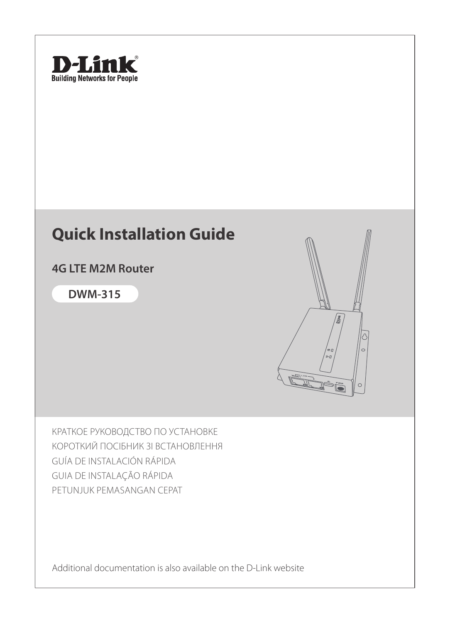

## **Quick Installation Guide**

**4G LTE M2M Router**

**DWM-315**



КРАТКОЕ РУКОВОДСТВО ПО УСТАНОВКЕ КОРОТКИЙ ПОСІБНИК ЗІ ВСТАНОВЛЕННЯ GUÍA DE INSTALACIÓN RÁPIDA GUIA DE INSTALAÇÃO RÁPIDA PETUNJUK PEMASANGAN CEPAT

Additional documentation is also available on the D-Link website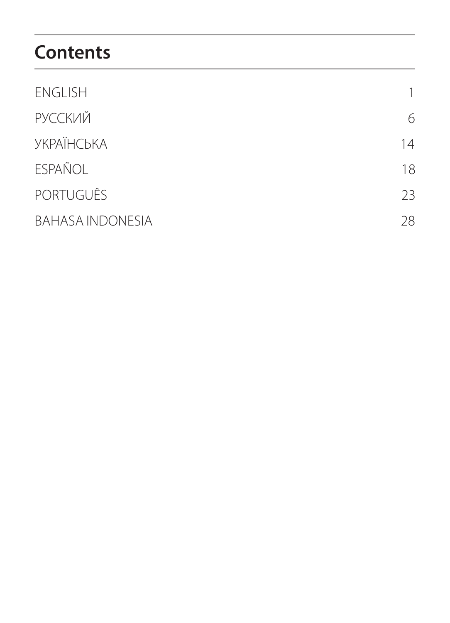# **Contents**

| <b>ENGLISH</b>          |    |
|-------------------------|----|
| <b>РУССКИЙ</b>          | 6  |
| <b>УКРАЇНСЬКА</b>       | 14 |
| <b>ESPAÑOL</b>          | 18 |
| <b>PORTUGUÊS</b>        | 23 |
| <b>BAHASA INDONESIA</b> | 28 |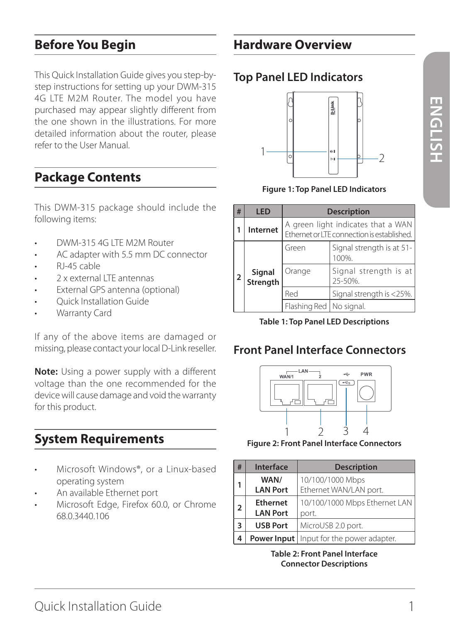# **ENGLISH ENGLISH**

## **Before You Begin**

This Quick Installation Guide gives you step-bystep instructions for setting up your DWM-315 4G LTE M2M Router. The model you have purchased may appear slightly different from the one shown in the illustrations. For more detailed information about the router, please refer to the User Manual.

## **Package Contents**

This DWM-315 package should include the following items:

- DWM-315 4G LTE M2M Router
- AC adapter with 5.5 mm DC connector
- RJ-45 cable
- 2 x external LTE antennas
- External GPS antenna (optional)
- Quick Installation Guide
- Warranty Card

If any of the above items are damaged or missing, please contact your local D-Link reseller.

**Note:** Using a power supply with a different voltage than the one recommended for the device will cause damage and void the warranty for this product.

## **System Requirements**

- Microsoft Windows®, or a Linux-based operating system
- An available Ethernet port
- Microsoft Edge, Firefox 60.0, or Chrome 68.0.3440.106

## **Hardware Overview**

## **Top Panel LED Indicators**



**Figure 1: Top Panel LED Indicators**

| #                  | LED      | <b>Description</b>                                                               |                                    |
|--------------------|----------|----------------------------------------------------------------------------------|------------------------------------|
|                    | Internet | A green light indicates that a WAN<br>Ethernet or LTE connection is established. |                                    |
|                    |          | Green                                                                            | Signal strength is at 51-<br>100%. |
| Signal<br>Strength | Orange   | Signal strength is at<br>25-50%.                                                 |                                    |
|                    |          | Red                                                                              | Signal strength is <25%.           |
|                    |          | Flashing Red   No signal.                                                        |                                    |

**Table 1: Top Panel LED Descriptions**

## **Front Panel Interface Connectors**



**Figure 2: Front Panel Interface Connectors**

| #              | Interface                          | <b>Description</b>                                |  |
|----------------|------------------------------------|---------------------------------------------------|--|
| 1              | WAN/<br><b>LAN Port</b>            | 10/100/1000 Mbps<br>Ethernet WAN/LAN port.        |  |
| $\overline{2}$ | <b>Ethernet</b><br><b>LAN Port</b> | 10/100/1000 Mbps Ethernet LAN<br>port.            |  |
| 3              | <b>USB Port</b>                    | MicroUSB 2.0 port.                                |  |
| 4              |                                    | <b>Power Input</b>   Input for the power adapter. |  |

**Table 2: Front Panel Interface Connector Descriptions**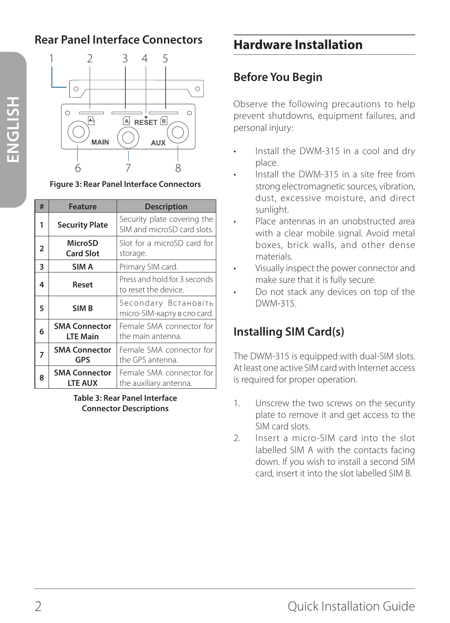## **Rear Panel Interface Connectors**



**Figure 3: Rear Panel Interface Connectors**

| # | <b>Feature</b>                          | <b>Description</b>                                         |
|---|-----------------------------------------|------------------------------------------------------------|
| 1 | <b>Security Plate</b>                   | Security plate covering the<br>SIM and microSD card slots. |
| 2 | MicroSD<br><b>Card Slot</b>             | Slot for a microSD card for<br>storage.                    |
| 3 | SIM A                                   | Primary SIM card.                                          |
| 4 | Reset                                   | Press and hold for 3 seconds<br>to reset the device.       |
| 5 | SIM <sub>B</sub>                        | Secondary Встановіть<br>micro-SIM-карту в сло card.        |
| 6 | <b>SMA Connector</b><br><b>LTE Main</b> | Female SMA connector for<br>the main antenna.              |
| 7 | <b>SMA Connector</b><br>GPS             | Female SMA connector for<br>the GPS antenna.               |
| 8 | <b>SMA Connector</b><br><b>LTE AUX</b>  | Female SMA connector for<br>the auxiliary antenna.         |

**Table 3: Rear Panel Interface Connector Descriptions**

## **Hardware Installation**

## **Before You Begin**

Observe the following precautions to help prevent shutdowns, equipment failures, and personal injury:

- Install the DWM-315 in a cool and dry place.
- Install the DWM-315 in a site free from strong electromagnetic sources, vibration, dust, excessive moisture, and direct sunlight.
- Place antennas in an unobstructed area with a clear mobile signal. Avoid metal boxes, brick walls, and other dense materials.
- Visually inspect the power connector and make sure that it is fully secure.
- Do not stack any devices on top of the DWM-315.

## **Installing SIM Card(s)**

The DWM-315 is equipped with dual-SIM slots. At least one active SIM card with Internet access is required for proper operation.

- 1. Unscrew the two screws on the security plate to remove it and get access to the SIM card slots.
- 2. Insert a micro-SIM card into the slot labelled SIM A with the contacts facing down. If you wish to install a second SIM card, insert it into the slot labelled SIM B.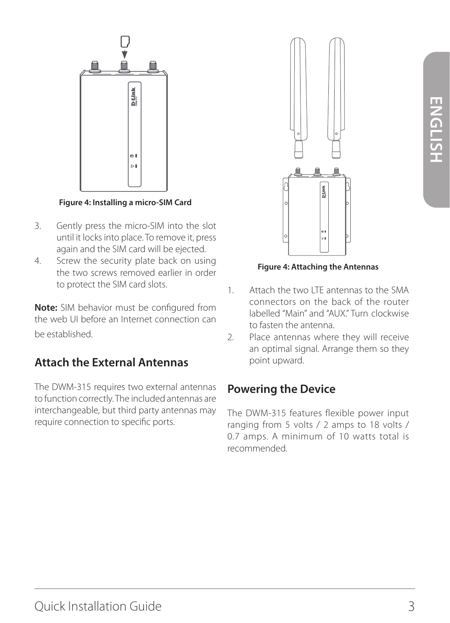

**Figure 4: Installing a micro-SIM Card**

- 3. Gently press the micro-SIM into the slot until it locks into place. To remove it, press again and the SIM card will be ejected.
- 4. Screw the security plate back on using the two screws removed earlier in order to protect the SIM card slots.

**Note:** SIM behavior must be configured from the web UI before an Internet connection can be established.

## **Attach the External Antennas**

The DWM-315 requires two external antennas to function correctly. The included antennas are interchangeable, but third party antennas may require connection to specific ports.



**Figure 4: Attaching the Antennas**

- 1. Attach the two LTE antennas to the SMA connectors on the back of the router labelled "Main" and "AUX." Turn clockwise to fasten the antenna.
- 2. Place antennas where they will receive an optimal signal. Arrange them so they point upward.

## **Powering the Device**

The DWM-315 features flexible power input ranging from 5 volts / 2 amps to 18 volts / 0.7 amps. A minimum of 10 watts total is recommended.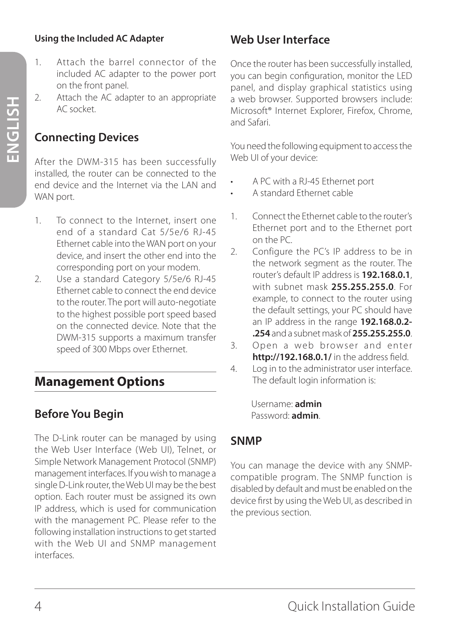#### **Using the Included AC Adapter**

- 1. Attach the barrel connector of the included AC adapter to the power port on the front panel.
- 2. Attach the AC adapter to an appropriate AC socket.

## **Connecting Devices**

After the DWM-315 has been successfully installed, the router can be connected to the end device and the Internet via the LAN and WAN port.

- 1 To connect to the Internet, insert one end of a standard Cat 5/5e/6 RJ-45 Ethernet cable into the WAN port on your device, and insert the other end into the corresponding port on your modem.
- 2. Use a standard Category 5/5e/6 RJ-45 Ethernet cable to connect the end device to the router. The port will auto-negotiate to the highest possible port speed based on the connected device. Note that the DWM-315 supports a maximum transfer speed of 300 Mbps over Ethernet.

## **Management Options**

## **Before You Begin**

The D-Link router can be managed by using the Web User Interface (Web UI), Telnet, or Simple Network Management Protocol (SNMP) management interfaces. If you wish to manage a single D-Link router, the Web UI may be the best option. Each router must be assigned its own IP address, which is used for communication with the management PC. Please refer to the following installation instructions to get started with the Web UI and SNMP management interfaces.

## **Web User Interface**

Once the router has been successfully installed, you can begin configuration, monitor the LED panel, and display graphical statistics using a web browser. Supported browsers include: Microsoft® Internet Explorer, Firefox, Chrome, and Safari.

You need the following equipment to access the Web UI of your device:

- A PC with a RJ-45 Ethernet port
- A standard Ethernet cable
- 1. Connect the Ethernet cable to the router's Ethernet port and to the Ethernet port on the PC.
- 2. Configure the PC's IP address to be in the network segment as the router. The router's default IP address is **192.168.0.1**, with subnet mask **255.255.255.0**. For example, to connect to the router using the default settings, your PC should have an IP address in the range **192.168.0.2- .254** and a subnet mask of **255.255.255.0**.
- 3. Open a web browser and enter **http://192.168.0.1/** in the address field.
- 4. Log in to the administrator user interface. The default login information is:

Username: **admin** Password: **admin**.

## **SNMP**

You can manage the device with any SNMPcompatible program. The SNMP function is disabled by default and must be enabled on the device first by using the Web UI, as described in the previous section.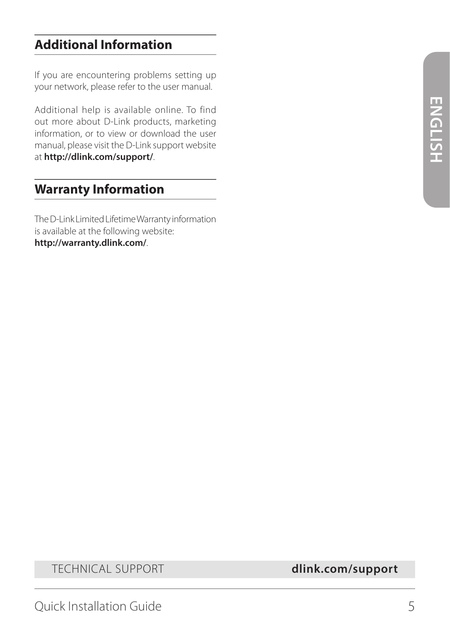## **Additional Information**

If you are encountering problems setting up your network, please refer to the user manual.

Additional help is available online. To find out more about D-Link products, marketing information, or to view or download the user manual, please visit the D-Link support website at **http://dlink.com/support/**.

## **Warranty Information**

The D-Link Limited Lifetime Warranty information is available at the following website: **http://warranty.dlink.com/**.

TECHNICAL SUPPORT **dlink.com/support**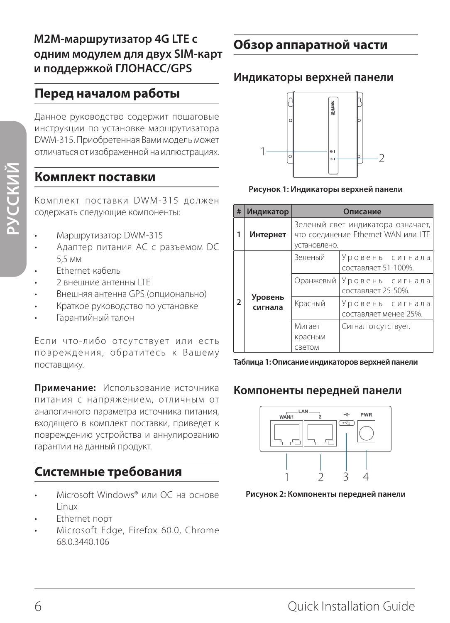## **Перед началом работы**

Данное руководство содержит пошаговые инструкции по установке маршрутизатора DWM-315. Приобретенная Вами модель может отличаться от изображенной на иллюстрациях.

#### **Комплект поставки**

Комплект поставки DWM-315 должен содержать следующие компоненты:

- Mаршрутизатор DWM-315
- Адаптер питания AC с разъемом DC 5,5 мм
- Ethernet-кабель
- 2 внешние антенны LTE
- Внешняя антенна GPS (опционально)
- Краткое руководство по установке
- Гарантийный талон

Если что-либо отсутствует или есть повреждения, обратитесь к Вашему поставщику.

**Примечание:** Использование источника питания с напряжением, отличным от аналогичного параметра источника питания, входящего в комплект поставки, приведет к повреждению устройства и аннулированию гарантии на данный продукт.

## **Системные требования**

- Microsoft Windows® или ОС на основе Linux
- Ethernet-порт
- Microsoft Edge, Firefox 60.0, Chrome 68.0.3440.106

## **Обзор аппаратной части**

#### **Индикаторы верхней панели**



**Рисунок 1: Индикаторы верхней панели**

| #                        | Индикатор          | Описание                                                                                 |                                          |
|--------------------------|--------------------|------------------------------------------------------------------------------------------|------------------------------------------|
|                          | Интернет           | Зеленый свет индикатора означает,<br>что соединение Ethernet WAN или LTE<br>установлено. |                                          |
| $\overline{\phantom{a}}$ | Уровень<br>сигнала | Зеленый                                                                                  | Уровень сигнала<br>составляет 51-100%.   |
|                          |                    | Оранжевый                                                                                | Уровень сигнала<br>составляет 25-50%.    |
|                          |                    | Красный                                                                                  | Уровень сигнала<br>составляет менее 25%. |
|                          |                    | Мигает                                                                                   | Сигнал отсутствует.                      |
|                          |                    | красным                                                                                  |                                          |
|                          |                    | светом                                                                                   |                                          |



#### **Компоненты передней панели**



**Рисунок 2: Компоненты передней панели**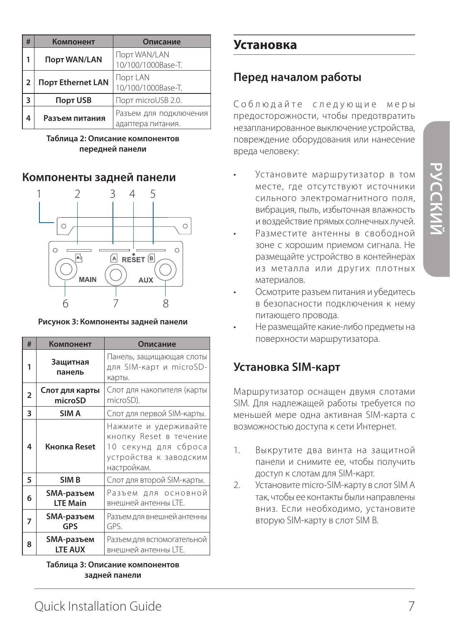| # | Компонент           | Описание                                    |
|---|---------------------|---------------------------------------------|
|   | <b>Порт WAN/LAN</b> | Порт WAN/LAN<br>10/100/1000Base-T.          |
| 2 | Порт Ethernet LAN   | Порт LAN<br>10/100/1000Base-T.              |
| 3 | <b>Порт USB</b>     | Порт microUSB 2.0.                          |
|   | Разъем питания      | Разъем для подключения<br>адаптера питания. |

**Таблица 2: Описание компонентов передней панели**

#### **Компоненты задней панели**



#### **Рисунок 3: Компоненты задней панели**

| #              | Компонент                     | Описание                                                                                                         |
|----------------|-------------------------------|------------------------------------------------------------------------------------------------------------------|
| 1              | Защитная<br>панель            | Панель, защищающая слоты<br>для SIM-карт и microSD-<br>карты.                                                    |
| $\overline{2}$ | Слот для карты<br>microSD     | Слот для накопителя (карты<br>microSD).                                                                          |
| 3              | SIM A                         | Слот для первой SIM-карты.                                                                                       |
| 4              | Кнопка Reset                  | Нажмите и удерживайте<br>кнопку Reset в течение<br>10 секунд для сброса<br>устройства к заводским<br>настройкам. |
| 5              | SIM <sub>B</sub>              | Слот для второй SIM-карты.                                                                                       |
| 6              | SMA-разъем<br><b>LTE Main</b> | Разъем для основной<br>внешней антенны LTE.                                                                      |
| 7              | SMA-разъем<br>GPS             | Разъем для внешней антенны<br>GPS.                                                                               |
| 8              | SMA-разъем<br><b>LTE AUX</b>  | Разъем для вспомогательной<br>внешней антенны LTE.                                                               |

**Таблица 3: Описание компонентов задней панели**

### **Установка**

#### **Перед началом работы**

Соблюдайте следующие меры предосторожности, чтобы предотвратить незапланированное выключение устройства, повреждение оборудования или нанесение вреда человеку:

- Установите маршрутизатор в том месте, где отсутствуют источники сильного электромагнитного поля, вибрация, пыль, избыточная влажность и воздействие прямых солнечных лучей.
- Разместите антенны в свободной зоне с хорошим приемом сигнала. Не размещайте устройство в контейнерах из металла или других плотных материалов.
- Осмотрите разъем питания и убедитесь в безопасности подключения к нему питающего провода.
- Не размещайте какие-либо предметы на поверхности маршрутизатора.

#### **Установка SIM-карт**

Маршрутизатор оснащен двумя слотами SIM. Для надлежащей работы требуется по меньшей мере одна активная SIM-карта с возможностью доступа к сети Интернет.

- 1. Выкрутите два винта на защитной панели и снимите ее, чтобы получить доступ к слотам для SIM-карт.
- 2. Установите micro-SIM-карту в слот SIM A так, чтобы ее контакты были направлены вниз. Если необходимо, установите вторую SIM-карту в слот SIM B.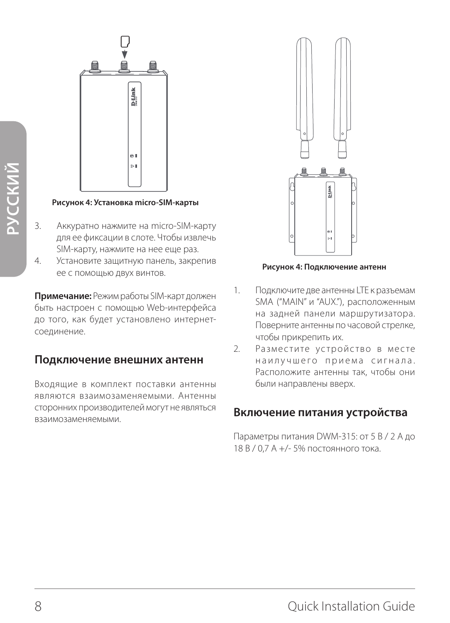

**Рисунок 4: Установка micro-SIM-карты**

- 3. Аккуратно нажмите на micro-SIM-карту для ее фиксации в слоте. Чтобы извлечь SIM-карту, нажмите на нее еще раз.
- 4. Установите защитную панель, закрепив ее с помощью двух винтов.

**Примечание:** Режим работы SIM-карт должен быть настроен с помощью Web-интерфейса до того, как будет установлено интернетсоединение.

#### **Подключение внешних антенн**

Входящие в комплект поставки антенны являются взаимозаменяемыми. Антенны сторонних производителей могут не являться взаимозаменяемыми.



**Рисунок 4: Подключение антенн**

- 1. Подключите две антенны LTE к разъемам SMA ("MAIN" и "AUX."), расположенным на задней панели маршрутизатора. Поверните антенны по часовой стрелке, чтобы прикрепить их.
- 2. Разместите устройство в месте наилучшего приема сигнала. Расположите антенны так, чтобы они были направлены вверх.

#### **Включение питания устройства**

Параметры питания DWM-315: от 5 В / 2 А до 18 В / 0,7 A +/- 5% постоянного тока.

**РУССКИЙ**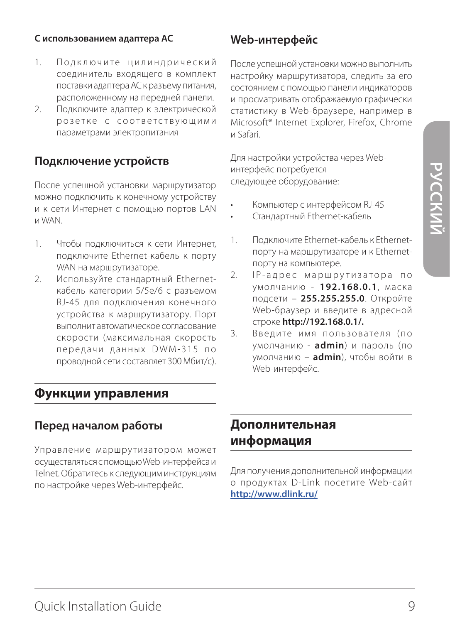#### **С использованием адаптера AC**

- 1. Подключите цилиндрический соединитель входящего в комплект поставки адаптера AC к разъему питания, расположенному на передней панели.
- 2. Подключите адаптер к электрической розетке с соответствующими параметрами электропитания

#### **Подключение устройств**

После успешной установки маршрутизатор можно подключить к конечному устройству и к сети Интернет с помощью портов LAN и WAN.

- 1. Чтобы подключиться к сети Интернет, подключите Ethernet-кабель к порту WAN на маршрутизаторе.
- 2. Используйте стандартный Ethernetкабель категории 5/5e/6 с разъемом RJ-45 для подключения конечного устройства к маршрутизатору. Порт выполнит автоматическое согласование скорости (максимальная скорость передачи данных DWM-315 по проводной сети составляет 300 Мбит/с).

#### **Функции управления**

#### **Перед началом работы**

Управление маршрутизатором может осуществляться с помощью Web-интерфейса и Telnet. Обратитесь к следующим инструкциям по настройке через Web-интерфейс.

#### **Web-интерфейс**

После успешной установки можно выполнить настройку маршрутизатора, следить за его состоянием с помощью панели индикаторов и просматривать отображаемую графически статистику в Web-браузере, например в Microsoft® Internet Explorer, Firefox, Chrome и Safari.

Для настройки устройства через Webинтерфейс потребуется следующее оборудование:

- Компьютер с интерфейсом RJ-45
- Стандартный Ethernet-кабель
- 1. Подключите Ethernet-кабель к Ethernetпорту на маршрутизаторе и к Ethernetпорту на компьютере.
- 2. IP-адрес маршрутизатора по умолчанию - **192.168.0.1**, маска подсети – **255.255.255.0**. Откройте Web-браузер и введите в адресной строке **http://192.168.0.1/.**
- 3. Ввелите имя пользователя (по умолчанию - **admin**) и пароль (по умолчанию – **admin**), чтобы войти в Web-интерфейс.

## **Дополнительная информация**

Для получения дополнительной информации о продуктах D-Link посетите Web-сайт **http://www.dlink.ru/**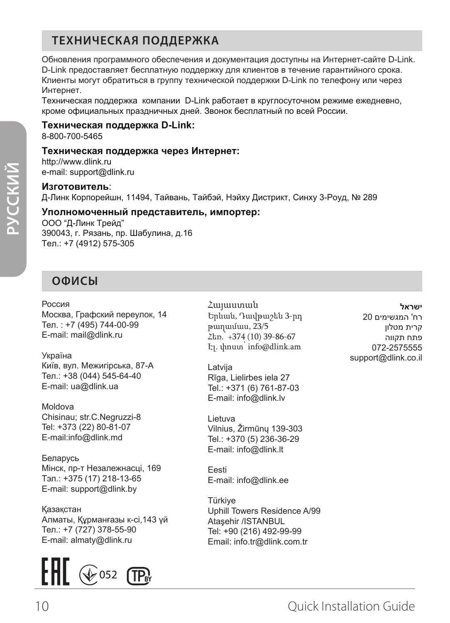## **ТЕХНИЧЕСКАЯ ПОДДЕРЖКА**

Обновления программного обеспечения и документация доступны на Интернет-сайте D-Link. D-Link предоставляет бесплатную поддержку для клиентов в течение гарантийного срока. Клиенты могут обратиться в группу технической поддержки D-Link по телефону или через Интернет.

Техническая поддержка компании D-Link работает в круглосуточном режиме ежедневно, кроме официальных праздничных дней. Звонок бесплатный по всей России.

#### **Техническая поддержка D-Link:**

8-800-700-5465

#### **Техническая поддержка через Интернет:**

http://www.dlink.ru e-mail: support@dlink.ru

#### **Изготовитель**:

Д-Линк Корпорейшн, 11494, Тайвань, Тайбэй, Нэйху Дистрикт, Синху 3-Роуд, № 289

#### **Уполномоченный представитель, импортер:**

ООО "Д-Линк Трейд" 390043, г. Рязань, пр. Шабулина, д.16 Тел.: +7 (4912) 575-305

## **ОФИСЫ**

Россия Москва, Графский переулок, 14 Тел. : +7 (495) 744-00-99 E-mail: mail@dlink.ru

Україна Київ, вул. Межигірська, 87-А Тел.: +38 (044) 545-64-40 E-mail: ua@dlink.ua

Moldova Chisinau; str.C.Negruzzi-8 Tel: +373 (22) 80-81-07 E-mail:info@dlink.md

Беларусь Мінск, пр-т Незалежнасці, 169 Тэл.: +375 (17) 218-13-65 E-mail: support@dlink.by

Қазақстан Алматы, Құрманғазы к-cі,143 үй Тел.: +7 (727) 378-55-90 E-mail: almaty@dlink.ru



Հայաստան Երևան, Դավթաշեն 3-րդ թաղամաս, 23/5 Հեռ.՝ +374 (10) 39-86-67 Էլ. փոստ՝ info@dlink.am

Latvija Rīga, Lielirbes iela 27 Tel.: +371 (6) 761-87-03 E-mail: info@dlink.lv

Lietuva Vilnius, Žirmūnų 139-303 Tel.: +370 (5) 236-36-29 E-mail: info@dlink.lt

Eesti E-mail: info@dlink.ee

Türkiye Uphill Towers Residence A/99 Ataşehir /ISTANBUL Tel: +90 (216) 492-99-99 Email: info.tr@dlink.com.tr

**ישראל** רח' המגשימים 20 קרית מטלון פתח תקווה 072-2575555 support@dlink.co.il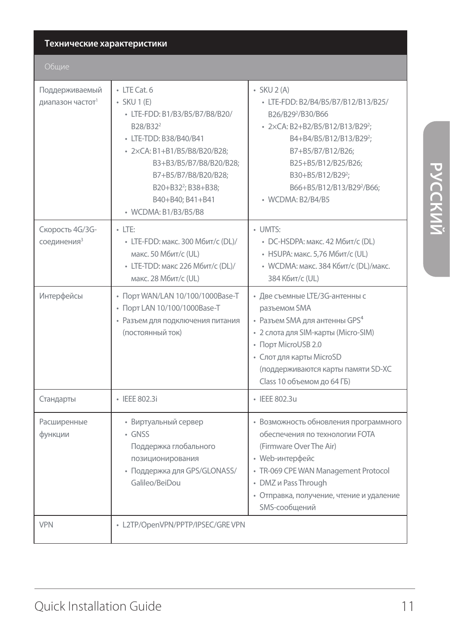#### **Технические характеристики**

| Поддерживаемый<br>диапазон частот <sup>1</sup> | $\cdot$ LTE Cat. 6<br>$-SKU 1(E)$<br>• LTE-FDD: B1/B3/B5/B7/B8/B20/<br>B28/B32 <sup>2</sup><br>· LTE-TDD: B38/B40/B41<br>- 2×CA: B1+B1/B5/B8/B20/B28:<br>B3+B3/B5/B7/B8/B20/B28;<br>B7+B5/B7/B8/B20/B28;<br>B20+B32 <sup>2</sup> ; B38+B38;<br>B40+B40: B41+B41<br>• WCDMA: B1/B3/B5/B8 | $-SKU2(A)$<br>• LTE-FDD: B2/B4/B5/B7/B12/B13/B25/<br>B26/B29 <sup>2</sup> /B30/B66<br>· 2×CA: B2+B2/B5/B12/B13/B29 <sup>2</sup> ;<br>B4+B4/B5/B12/B13/B29 <sup>2</sup> ;<br>B7+B5/B7/B12/B26:<br>B25+B5/B12/B25/B26;<br>B30+B5/B12/B29 <sup>2</sup> :<br>B66+B5/B12/B13/B29 <sup>2</sup> /B66:<br>• WCDMA: B2/B4/B5 |
|------------------------------------------------|-----------------------------------------------------------------------------------------------------------------------------------------------------------------------------------------------------------------------------------------------------------------------------------------|---------------------------------------------------------------------------------------------------------------------------------------------------------------------------------------------------------------------------------------------------------------------------------------------------------------------|
| Скорость 4G/3G-<br>соединения <sup>3</sup>     | $-$ LTE:<br>• LTE-FDD: макс. 300 Мбит/с (DL)/<br>макс. 50 Мбит/с (UL)<br>• LTE-TDD: макс 226 Мбит/с (DL)/<br>макс. 28 Мбит/с (UL)                                                                                                                                                       | $\cdot$ UMTS:<br>• DC-HSDPA: макс. 42 Мбит/с (DL)<br>• HSUPA: макс. 5,76 Мбит/с (UL)<br>• WCDMA: макс. 384 Кбит/с (DL)/макс.<br>384 Кбит/с (UL)                                                                                                                                                                     |
| Интерфейсы                                     | • Порт WAN/LAN 10/100/1000Base-T<br>• Порт LAN 10/100/1000Base-T<br>• Разъем для подключения питания<br>(постоянный ток)                                                                                                                                                                | • Две съемные LTE/3G-антенны с<br>разъемом SMA<br>• Разъем SMA для антенны GPS <sup>4</sup><br>• 2 слота для SIM-карты (Micro-SIM)<br>• Порт MicroUSB 2.0<br>• Слот для карты MicroSD<br>(поддерживаются карты памяти SD-XC<br>Class 10 объемом до 64 ГБ)                                                           |
| Стандарты                                      | · IEEE 802.3i                                                                                                                                                                                                                                                                           | · IEEE 802.3u                                                                                                                                                                                                                                                                                                       |
| Расширенные<br>функции                         | • Виртуальный сервер<br>$-$ GNSS<br>Поддержка глобального<br>позиционирования<br>• Поддержка для GPS/GLONASS/<br>Galileo/BeiDou                                                                                                                                                         | • Возможность обновления программного<br>обеспечения по технологии FOTA<br>(Firmware Over The Air)<br>• Web-интерфейс<br>· TR-069 CPE WAN Management Protocol<br>• DMZ и Pass Through<br>• Отправка, получение, чтение и удаление<br>SMS-сообщений                                                                  |
| <b>VPN</b>                                     | • L2TP/OpenVPN/PPTP/IPSEC/GREVPN                                                                                                                                                                                                                                                        |                                                                                                                                                                                                                                                                                                                     |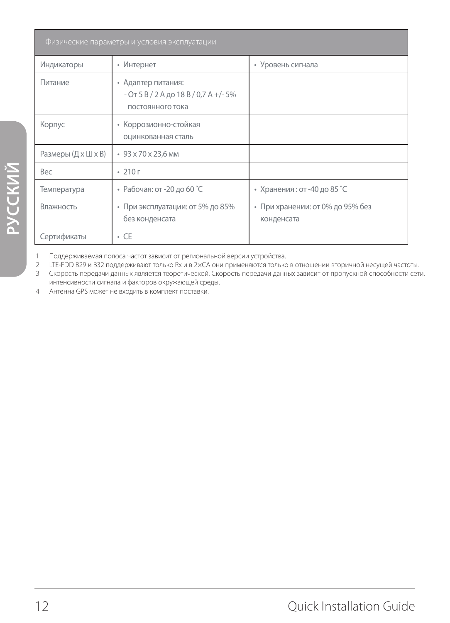| Физические параметры и условия эксплуатации           |                                                                                   |                                                |  |
|-------------------------------------------------------|-----------------------------------------------------------------------------------|------------------------------------------------|--|
| Индикаторы                                            | • Интернет                                                                        | • Уровень сигнала                              |  |
| Питание                                               | • Адаптер питания:<br>$-$ От 5 В / 2 А до 18 В / 0,7 А +/- 5%<br>постоянного тока |                                                |  |
| • Коррозионно-стойкая<br>Корпус<br>оцинкованная сталь |                                                                                   |                                                |  |
| Размеры (Д х Ш х В)<br>• 93 x 70 x 23,6 MM            |                                                                                   |                                                |  |
| <b>Bec</b>                                            | $\cdot$ 210 г                                                                     |                                                |  |
| Температура                                           | • Рабочая: от -20 до 60 °С                                                        | • Хранения: от -40 до 85 °С                    |  |
| Влажность                                             | • При эксплуатации: от 5% до 85%<br>без конденсата                                | • При хранении: от 0% до 95% без<br>конденсата |  |
| Сертификаты                                           | $\cdot$ CE                                                                        |                                                |  |

1 Поддерживаемая полоса частот зависит от региональной версии устройства.

2 LTE-FDD B29 и B32 поддерживают только Rx и в 2×CA они применяются только в отношении вторичной несущей частоты. Скорость передачи данных является теоретической. Скорость передачи данных зависит от пропускной способности сети, интенсивности сигнала и факторов окружающей среды.

4 Антенна GPS может не входить в комплект поставки.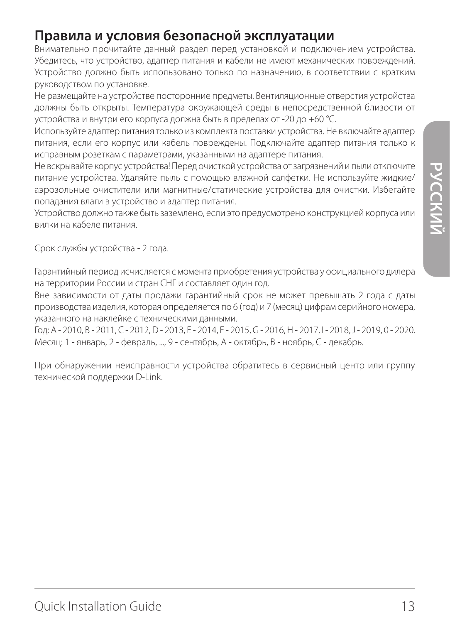# **РУССКИИ**

## **Правила и условия безопасной эксплуатации**

Внимательно прочитайте данный раздел перед установкой и подключением устройства. Убедитесь, что устройство, адаптер питания и кабели не имеют механических повреждений. Устройство должно быть использовано только по назначению, в соответствии с кратким руководством по установке.

Не размещайте на устройстве посторонние предметы. Вентиляционные отверстия устройства должны быть открыты. Температура окружающей среды в непосредственной близости от устройства и внутри его корпуса должна быть в пределах от -20 до +60 °С.

Используйте адаптер питания только из комплекта поставки устройства. Не включайте адаптер питания, если его корпус или кабель повреждены. Подключайте адаптер питания только к исправным розеткам с параметрами, указанными на адаптере питания.

Не вскрывайте корпус устройства! Перед очисткой устройства от загрязнений и пыли отключите питание устройства. Удаляйте пыль с помощью влажной салфетки. Не используйте жидкие/ аэрозольные очистители или магнитные/статические устройства для очистки. Избегайте попадания влаги в устройство и адаптер питания.

Устройство должно также быть заземлено, если это предусмотрено конструкцией корпуса или вилки на кабеле питания.

Срок службы устройства - 2 года.

Гарантийный период исчисляется c момента приобретения устройства у официального дилера на территории России и стран СНГ и составляет один год.

Вне зависимости от даты продажи гарантийный срок не может превышать 2 года с даты производства изделия, которая определяется по 6 (год) и 7 (месяц) цифрам серийного номера, указанного на наклейке с техническими данными.

Год: A - 2010, B - 2011, С - 2012, D - 2013, E - 2014, F - 2015, G - 2016, H - 2017, I - 2018, J - 2019, 0 - 2020. Месяц: 1 - январь, 2 - февраль, ..., 9 - сентябрь, A - октябрь, B - ноябрь, С - декабрь.

При обнаружении неисправности устройства обратитесь в сервисный центр или группу технической поддержки D-Link.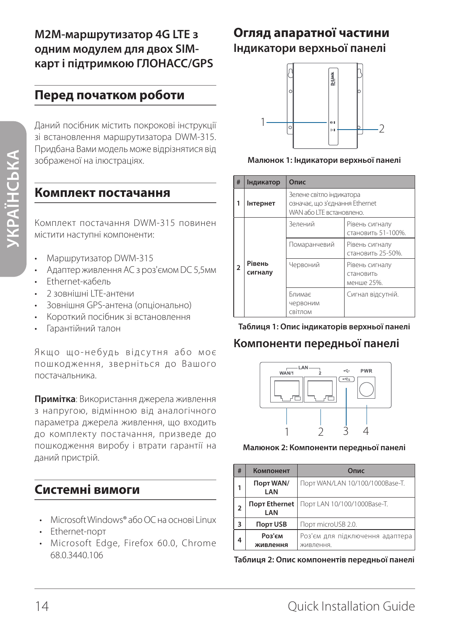## **Перед початком роботи**

Даний посібник містить покрокові інструкції зі встановлення маршрутизатора DWM-315. Придбана Вами модель може відрізнятися від зображеної на ілюстраціях.

#### **Комплект постачання**

Комплект постачання DWM-315 повинен містити наступні компоненти:

- Маршрутизатор DWM-315
- Адаптер живлення AC з роз'ємом DC 5,5мм
- Ethernet-кабель
- 2 зовнішні LTE-антени
- Зовнішня GPS-антена (опціонально)
- Короткий посібник зі встановлення
- Гарантійний талон

Якщо що-небудь відсутня або моє пошкодження, зверніться до Вашого постачальника.

**Примітка**: Використання джерела живлення з напругою, відмінною від аналогічного параметра джерела живлення, що входить до комплекту постачання, призведе до пошкодження виробу і втрати гарантії на даний пристрій.

## **Системні вимоги**

- Microsoft Windows® або ОС на основі Linux
- Ethernet-порт
- Microsoft Edge, Firefox 60.0, Chrome 68.0.3440.106

## **Огляд апаратної частини Індикатори верхньої панелі**



**Малюнок 1: Індикатори верхньої панелі**

| #                      | Індикатор    | Опис                                                                                   |                                      |
|------------------------|--------------|----------------------------------------------------------------------------------------|--------------------------------------|
| 1                      | Інтернет     | Зелене світло індикатора<br>означає, що з'єднання Ethernet<br>WAN або LTE встановлено. |                                      |
| Рівень<br>2<br>сигналу |              | Зелений                                                                                | Рівень сигналу<br>становить 51-100%. |
|                        | Помаранчевий | Рівень сигналу<br>становить 25-50%.                                                    |                                      |
|                        | Червоний     | Рівень сигналу<br>становить<br>менше 25%.                                              |                                      |
|                        |              | Блимає<br>червоним<br>світлом                                                          | Сигнал відсутній.                    |



#### **Компоненти передньої панелі**



#### **Малюнок 2: Компоненти передньої панелі**

| # | Компонент            | Опис                                         |  |
|---|----------------------|----------------------------------------------|--|
|   | Порт WAN/<br>LAN     | Порт WAN/LAN 10/100/1000Base-T.              |  |
| 2 | Порт Ethernet<br>LAN | Порт LAN 10/100/1000Base-T.                  |  |
| 3 | <b>Порт USB</b>      | Порт microUSB 2.0.                           |  |
| 4 | Роз'єм<br>живлення   | Роз'єм для підключення адаптера<br>живлення. |  |

**Таблиця 2: Опис компонентів передньої панелі**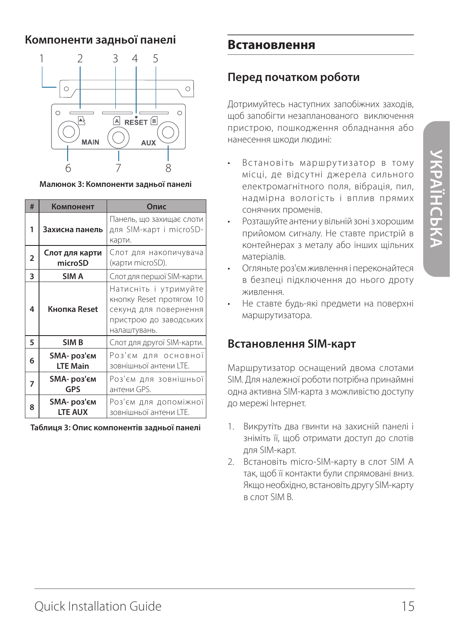#### **Компоненти задньої панелі**



**Малюнок 3: Компоненти задньої панелі**

| #              | Компонент                            | Опис                                                                                                                 |
|----------------|--------------------------------------|----------------------------------------------------------------------------------------------------------------------|
| 1              | Захисна панель                       | Панель, що захищає слоти<br>для SIM-карт і microSD-<br>карти.                                                        |
| $\overline{2}$ | Слот для карти<br>microSD            | Слот для накопичувача<br>(карти microSD).                                                                            |
| 3              | SIM A                                | Слот для першої SIM-карти.                                                                                           |
| 4              | Кнопка Reset                         | Натисніть і утримуйте<br>кнопку Reset протягом 10<br>секунд для повернення<br>пристрою до заводських<br>налаштувань. |
| 5              | SIM B                                | Слот для другої SIM-карти.                                                                                           |
| 6              | ЅМА-роз'єм<br><b>LTE Main</b>        | Роз'єм для основної<br>зовнішньої антени LTE.                                                                        |
| 7              | <b>SMA- роз'єм</b><br>GPS            | Роз'єм для зовнішньої<br>антени GPS.                                                                                 |
| 8              | <b>SMA- роз'єм</b><br><b>LTE AUX</b> | Роз'єм для допоміжної<br>зовнішньої антени LTE.                                                                      |

**Таблиця 3: Опис компонентів задньої панелі**

#### **Встановлення**

#### **Перед початком роботи**

Дотримуйтесь наступних запобіжних заходів, щоб запобігти незапланованого виключення пристрою, пошкодження обладнання або нанесення шкоди людині:

- Встановіть маршрутизатор в тому місці, де відсутні джерела сильного електромагнітного поля, вібрація, пил, надмірна вологість і вплив прямих сонячних променів.
- Розташуйте антени у вільній зоні з хорошим прийомом сигналу. Не ставте пристрій в контейнерах з металу або інших щільних матеріалів.
- Огляньте роз'єм живлення і переконайтеся в безпеці підключення до нього дроту живлення.
- Не ставте будь-які предмети на поверхні маршрутизатора.

#### **Встановлення SIM-карт**

Маршрутизатор оснащений двома слотами SIM. Для належної роботи потрібна принаймні одна активна SIM-карта з можливістю доступу до мережі Інтернет.

- 1. Викрутіть два гвинти на захисній панелі і зніміть її, щоб отримати доступ до слотів для SIM-карт.
- 2. Встановіть micro-SIM-карту в слот SIM A так, щоб її контакти були спрямовані вниз. Якщо необхідно, встановіть другу SIM-карту в слот SIM B.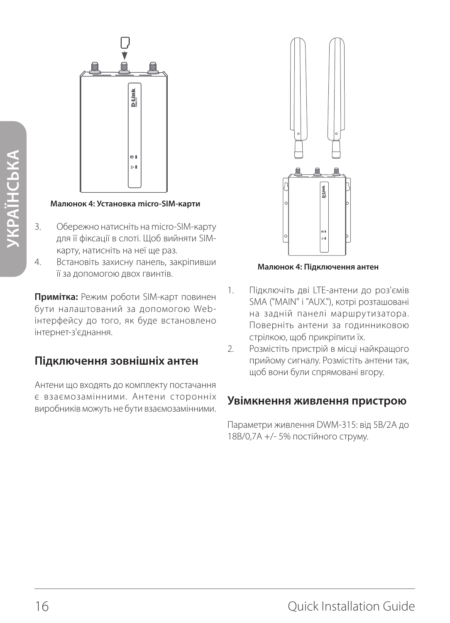

#### **Малюнок 4: Установка micro-SIM-карти**

- 3. Обережно натисніть на micro-SIM-карту для її фіксації в слоті. Щоб вийняти SIMкарту, натисніть на неї ще раз.
- 4. Встановіть захисну панель, закріпивши її за допомогою двох гвинтів.

**Примітка:** Режим роботи SIM-карт повинен бути налаштований за допомогою Webінтерфейсу до того, як буде встановлено інтернет-з'єднання.

#### **Підключення зовнішніх антен**

Антени що входять до комплекту постачання є взаємозамінними. Антени сторонніх виробників можуть не бути взаємозамінними.



**Малюнок 4: Підключення антен**

- 1. Підключіть дві LTE-антени до роз'ємів SMA ("MAIN" і "AUX."), котрі розташовані на задній панелі маршрутизатора. Поверніть антени за годинниковою стрілкою, щоб прикріпити їх.
- 2. Розмістіть пристрій в місці найкращого прийому сигналу. Розмістіть антени так, щоб вони були спрямовані вгору.

#### **Увімкнення живлення пристрою**

Параметри живлення DWM-315: від 5В/2А до 18В/0,7A +/- 5% постійного струму.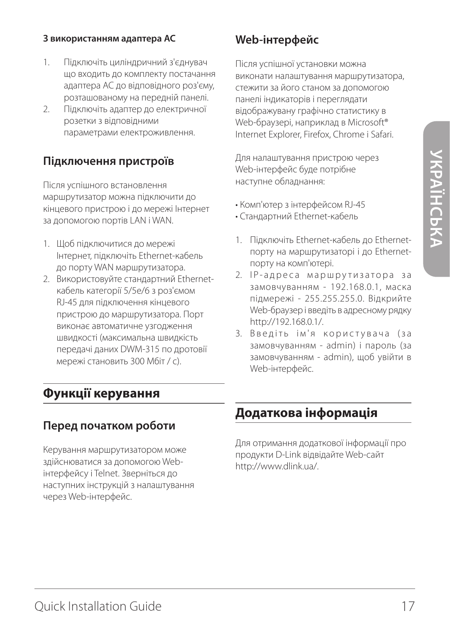#### **З використанням адаптера AC**

- 1. Підключіть циліндричний з'єднувач що входить до комплекту постачання адаптера AC до відповідного роз'єму, розташованому на передній панелі.
- 2. Підключіть адаптер до електричної розетки з відповідними параметрами електроживлення.

#### **Підключення пристроїв**

Після успішного встановлення маршрутизатор можна підключити до кінцевого пристрою і до мережі Інтернет за допомогою портів LAN і WAN.

- 1. Щоб підключитися до мережі Інтернет, підключіть Ethernet-кабель до порту WAN маршрутизатора.
- 2. Використовуйте стандартний Ethernetкабель категорії 5/5e/6 з роз'ємом RJ-45 для підключення кінцевого пристрою до маршрутизатора. Порт виконає автоматичне узгодження швидкості (максимальна швидкість передачі даних DWM-315 по дротовії мережі становить 300 Мбіт / с).

## **Функції керування**

#### **Перед початком роботи**

Керування маршрутизатором може здійснюватися за допомогою Webінтерфейсу і Telnet. Зверніться до наступних інструкцій з налаштування через Web-інтерфейс.

## **Web-інтерфейс**

Після успішної установки можна виконати налаштування маршрутизатора, стежити за його станом за допомогою панелі індикаторів і переглядати відображувану графічно статистику в Web-браузері, наприклад в Microsoft® Internet Explorer, Firefox, Chrome і Safari.

Для налаштування пристрою через Web-інтерфейс буде потрібне наступне обладнання:

- Комп'ютер з інтерфейсом RJ-45
- Стандартний Ethernet-кабель
- 1. Підключіть Ethernet-кабель до Ethernetпорту на маршрутизаторі і до Ethernetпорту на комп'ютері.
- 2. IP-адреса маршрутизатора за замовчуванням - 192.168.0.1, маска підмережі - 255.255.255.0. Відкрийте Web-браузер і введіть в адресному рядку http://192.168.0.1/.
- 3. Введіть ім'я користувача (за замовчуванням - admin) і пароль (за замовчуванням - admin), щоб увійти в Web-інтерфейс.

## **Додаткова інформація**

Для отримання додаткової інформації про продукти D-Link відвідайте Web-сайт http://www.dlink.ua/.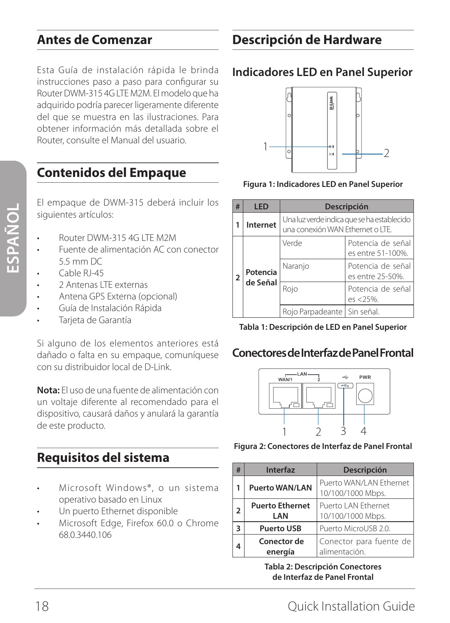## **Antes de Comenzar**

Esta Guía de instalación rápida le brinda instrucciones paso a paso para configurar su Router DWM-315 4G LTE M2M. El modelo que ha adquirido podría parecer ligeramente diferente del que se muestra en las ilustraciones. Para obtener información más detallada sobre el Router, consulte el Manual del usuario.

## **Contenidos del Empaque**

El empaque de DWM-315 deberá incluir los siguientes artículos:

- Router DWM-315 4G LTE M2M
- Fuente de alimentación AC con conector 5.5 mm DC
- Cable RI-45
- 2 Antenas LTE externas
- Antena GPS Externa (opcional)
- Guía de Instalación Rápida
- Tarjeta de Garantía

Si alguno de los elementos anteriores está dañado o falta en su empaque, comuníquese con su distribuidor local de D-Link.

**Nota:** El uso de una fuente de alimentación con un voltaje diferente al recomendado para el dispositivo, causará daños y anulará la garantía de este producto.

## **Requisitos del sistema**

- Microsoft Windows®, o un sistema operativo basado en Linux
- Un puerto Ethernet disponible
- Microsoft Edge, Firefox 60.0 o Chrome 68.0.3440.106

## **Descripción de Hardware**

#### **Indicadores LED en Panel Superior**



**Figura 1: Indicadores LED en Panel Superior**

| #              | LED                  | Descripción                                                                    |                                        |
|----------------|----------------------|--------------------------------------------------------------------------------|----------------------------------------|
|                | Internet             | Una luz verde indica que se ha establecido<br>una conexión WAN Ethernet o LTE. |                                        |
| $\overline{2}$ | Potencia<br>de Señal | Verde                                                                          | Potencia de señal<br>es entre 51-100%. |
|                |                      | Naranjo                                                                        | Potencia de señal<br>es entre 25-50%.  |
|                |                      | Rojo                                                                           | Potencia de señal<br>$es < 25%$ .      |
|                |                      | Rojo Parpadeante   Sin señal.                                                  |                                        |

**Tabla 1: Descripción de LED en Panel Superior**

#### **Conectores de Interfaz de Panel Frontal**



**Figura 2: Conectores de Interfaz de Panel Frontal**

| # | <b>Interfaz</b>               | <b>Descripción</b>                           |
|---|-------------------------------|----------------------------------------------|
|   | <b>Puerto WAN/LAN</b>         | Puerto WAN/LAN Ethernet<br>10/100/1000 Mbps. |
| 2 | <b>Puerto Ethernet</b><br>LAN | Puerto LAN Ethernet<br>10/100/1000 Mbps.     |
| 3 | <b>Puerto USB</b>             | Puerto MicroUSB 2.0.                         |
|   | Conector de<br>energía        | Conector para fuente de<br>alimentación.     |

**Tabla 2: Descripción Conectores de Interfaz de Panel Frontal**

**ESPAÑOL**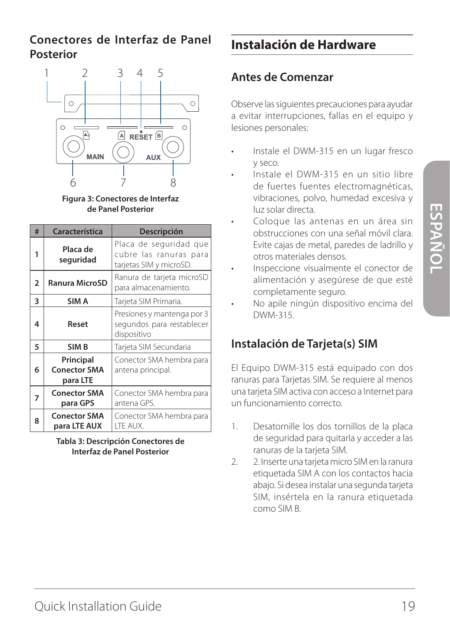## **Conectores de Interfaz de Panel Posterior**



**Figura 3: Conectores de Interfaz de Panel Posterior**

| #              | Característica                               | Descripción                                                                 |
|----------------|----------------------------------------------|-----------------------------------------------------------------------------|
| 1              | Placa de<br>seguridad                        | Placa de seguridad que<br>cubre las ranuras para<br>tarjetas SIM y microSD. |
| $\overline{2}$ | <b>Ranura MicroSD</b>                        | Ranura de tarjeta microSD<br>para almacenamiento.                           |
| 3              | SIM A                                        | Tarjeta SIM Primaria.                                                       |
| 4              | Reset                                        | Presiones y mantenga por 3<br>segundos para restablecer<br>dispositivo      |
| 5              | SIM <sub>B</sub>                             | Tarjeta SIM Secundaria                                                      |
| 6              | Principal<br><b>Conector SMA</b><br>para LTE | Conector SMA hembra para<br>antena principal.                               |
| 7              | <b>Conector SMA</b><br>para GPS              | Conector SMA hembra para<br>antena GPS.                                     |
| 8              | <b>Conector SMA</b><br>para LTE AUX          | Conector SMA hembra para<br>LTE AUX.                                        |

**Tabla 3: Descripción Conectores de Interfaz de Panel Posterior**

## **Instalación de Hardware**

## **Antes de Comenzar**

Observe las siguientes precauciones para ayudar a evitar interrupciones, fallas en el equipo y lesiones personales:

- Instale el DWM-315 en un lugar fresco y seco.
- Instale el DWM-315 en un sitio libre de fuertes fuentes electromagnéticas, vibraciones, polvo, humedad excesiva y luz solar directa.
- Coloque las antenas en un área sin obstrucciones con una señal móvil clara. Evite cajas de metal, paredes de ladrillo y otros materiales densos.
- Inspeccione visualmente el conector de alimentación y asegúrese de que esté completamente seguro.
- No apile ningún dispositivo encima del DWM-315.

## **Instalación de Tarjeta(s) SIM**

El Equipo DWM-315 está equipado con dos ranuras para Tarjetas SIM. Se requiere al menos una tarjeta SIM activa con acceso a Internet para un funcionamiento correcto.

- 1. Desatornille los dos tornillos de la placa de seguridad para quitarla y acceder a las ranuras de la tarjeta SIM.
- 2. 2. Inserte una tarjeta micro SIM en la ranura etiquetada SIM A con los contactos hacia abajo. Si desea instalar una segunda tarjeta SIM, insértela en la ranura etiquetada como SIM B.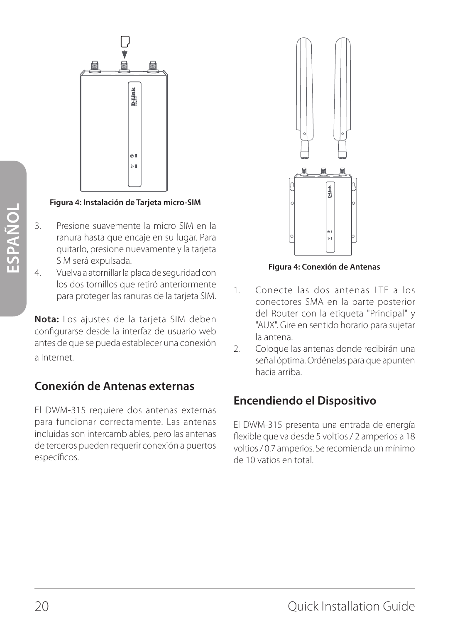

#### **Figura 4: Instalación de Tarjeta micro-SIM**

- 3. Presione suavemente la micro SIM en la ranura hasta que encaje en su lugar. Para quitarlo, presione nuevamente y la tarjeta SIM será expulsada.
- 4. Vuelva a atornillar la placa de seguridad con los dos tornillos que retiró anteriormente para proteger las ranuras de la tarjeta SIM.

**Nota:** Los ajustes de la tarjeta SIM deben configurarse desde la interfaz de usuario web antes de que se pueda establecer una conexión a Internet.

## **Conexión de Antenas externas**

El DWM-315 requiere dos antenas externas para funcionar correctamente. Las antenas incluidas son intercambiables, pero las antenas de terceros pueden requerir conexión a puertos específicos.



**Figura 4: Conexión de Antenas**

- 1. Conecte las dos antenas LTE a los conectores SMA en la parte posterior del Router con la etiqueta "Principal" y "AUX". Gire en sentido horario para sujetar la antena.
- 2. Coloque las antenas donde recibirán una señal óptima. Ordénelas para que apunten hacia arriba.

## **Encendiendo el Dispositivo**

El DWM-315 presenta una entrada de energía flexible que va desde 5 voltios / 2 amperios a 18 voltios / 0.7 amperios. Se recomienda un mínimo de 10 vatios en total.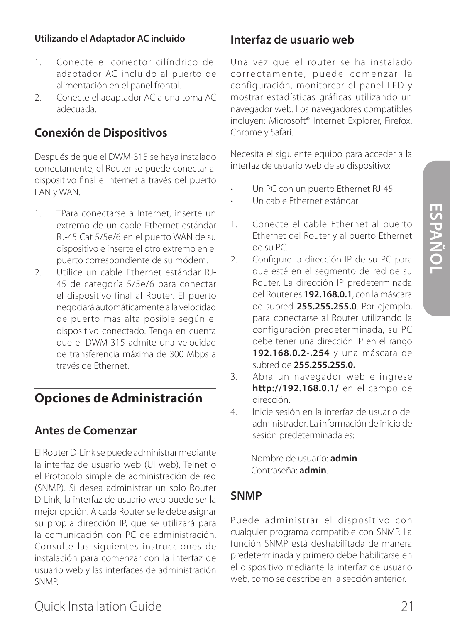#### **Utilizando el Adaptador AC incluido**

- 1. Conecte el conector cilíndrico del adaptador AC incluido al puerto de alimentación en el panel frontal.
- 2. Conecte el adaptador AC a una toma AC adecuada.

#### **Conexión de Dispositivos**

Después de que el DWM-315 se haya instalado correctamente, el Router se puede conectar al dispositivo final e Internet a través del puerto LAN y WAN.

- 1. TPara conectarse a Internet, inserte un extremo de un cable Ethernet estándar RJ-45 Cat 5/5e/6 en el puerto WAN de su dispositivo e inserte el otro extremo en el puerto correspondiente de su módem.
- 2. Utilice un cable Ethernet estándar RJ-45 de categoría 5/5e/6 para conectar el dispositivo final al Router. El puerto negociará automáticamente a la velocidad de puerto más alta posible según el dispositivo conectado. Tenga en cuenta que el DWM-315 admite una velocidad de transferencia máxima de 300 Mbps a través de Ethernet.

## **Opciones de Administración**

#### **Antes de Comenzar**

El Router D-Link se puede administrar mediante la interfaz de usuario web (UI web), Telnet o el Protocolo simple de administración de red (SNMP). Si desea administrar un solo Router D-Link, la interfaz de usuario web puede ser la mejor opción. A cada Router se le debe asignar su propia dirección IP, que se utilizará para la comunicación con PC de administración. Consulte las siguientes instrucciones de instalación para comenzar con la interfaz de usuario web y las interfaces de administración SNMP.

#### **Interfaz de usuario web**

Una vez que el router se ha instalado correctamente, puede comenzar la configuración, monitorear el panel LED y mostrar estadísticas gráficas utilizando un navegador web. Los navegadores compatibles incluyen: Microsoft® Internet Explorer, Firefox, Chrome y Safari.

Necesita el siguiente equipo para acceder a la interfaz de usuario web de su dispositivo:

- Un PC con un puerto Ethernet RJ-45
- Un cable Ethernet estándar
- 1. Conecte el cable Ethernet al puerto Ethernet del Router y al puerto Ethernet de su PC.
- 2. Configure la dirección IP de su PC para que esté en el segmento de red de su Router. La dirección IP predeterminada del Router es **192.168.0.1**, con la máscara de subred **255.255.255.0**. Por ejemplo, para conectarse al Router utilizando la configuración predeterminada, su PC debe tener una dirección IP en el rango **192.168.0.2-.254** y una máscara de subred de **255.255.255.0.**
- 3. Abra un navegador web e ingrese **http://192.168.0.1/** en el campo de dirección.
- 4. Inicie sesión en la interfaz de usuario del administrador. La información de inicio de sesión predeterminada es:

Nombre de usuario: **admin** Contraseña: **admin**.

#### **SNMP**

Puede administrar el dispositivo con cualquier programa compatible con SNMP. La función SNMP está deshabilitada de manera predeterminada y primero debe habilitarse en el dispositivo mediante la interfaz de usuario web, como se describe en la sección anterior.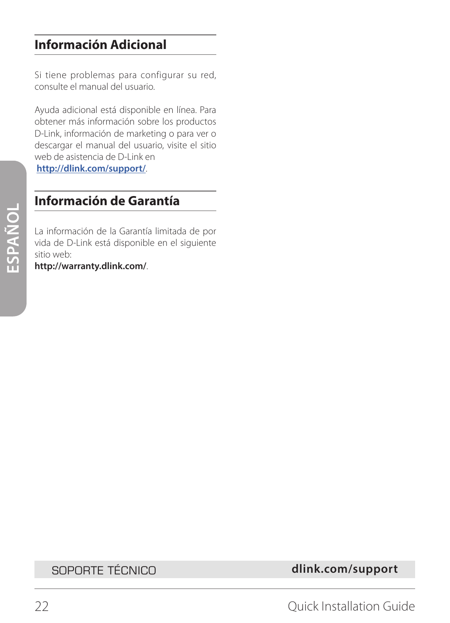## **Información Adicional**

Si tiene problemas para configurar su red, consulte el manual del usuario.

Ayuda adicional está disponible en línea. Para obtener más información sobre los productos D-Link, información de marketing o para ver o descargar el manual del usuario, visite el sitio web de asistencia de D-Link en

**http://dlink.com/support/**.

## **Información de Garantía**

La información de la Garantía limitada de por vida de D-Link está disponible en el siguiente sitio web:

**http://warranty.dlink.com/**.

SOPORTE TÉCNICO **dlink.com/support**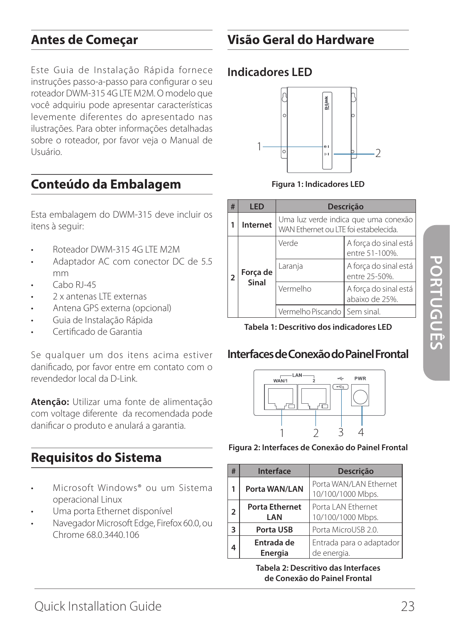## **Antes de Começar**

Este Guia de Instalação Rápida fornece instruções passo-a-passo para configurar o seu roteador DWM-315 4G LTE M2M. O modelo que você adquiriu pode apresentar características levemente diferentes do apresentado nas ilustrações. Para obter informações detalhadas sobre o roteador, por favor veja o Manual de Usuário.

## **Conteúdo da Embalagem**

Esta embalagem do DWM-315 deve incluir os itens à seguir:

- Roteador DWM-315 4G LTE M2M
- Adaptador AC com conector DC de 5.5 mm
- Cabo RJ-45
- 2 x antenas LTE externas
- Antena GPS externa (opcional)
- Guia de Instalação Rápida
- Certificado de Garantia

Se qualquer um dos itens acima estiver danificado, por favor entre em contato com o revendedor local da D-Link.

**Atenção:** Utilizar uma fonte de alimentação com voltage diferente da recomendada pode danificar o produto e anulará a garantia.

## **Requisitos do Sistema**

- Microsoft Windows® ou um Sistema operacional Linux
- Uma porta Ethernet disponível
- Navegador Microsoft Edge, Firefox 60.0, ou Chrome 68.0.3440.106

## **Visão Geral do Hardware**

### **Indicadores LED**



**Figura 1: Indicadores LED**

| # | <b>IFD</b>        | Descrição                                                                     |                                         |
|---|-------------------|-------------------------------------------------------------------------------|-----------------------------------------|
|   | Internet          | Uma luz verde indica que uma conexão<br>WAN Ethernet ou LTE foi estabelecida. |                                         |
| っ | Força de<br>Sinal | Verde                                                                         | A força do sinal está<br>entre 51-100%. |
|   |                   | Laranja                                                                       | A força do sinal está<br>entre 25-50%.  |
|   |                   | Vermelho                                                                      | A força do sinal está<br>abaixo de 25%. |
|   |                   | Vermelho Piscando   Sem sinal.                                                |                                         |

#### **Tabela 1: Descritivo dos indicadores LED**

#### **Interfaces de Conexão do Painel Frontal**



**Figura 2: Interfaces de Conexão do Painel Frontal**

| #                       | <b>Interface</b>             | Descrição                                   |
|-------------------------|------------------------------|---------------------------------------------|
| 1                       | Porta WAN/LAN                | Porta WAN/LAN Ethernet<br>10/100/1000 Mbps. |
| $\mathfrak z$           | <b>Porta Ethernet</b><br>LAN | Porta LAN Ethernet<br>10/100/1000 Mbps.     |
| $\overline{\mathbf{3}}$ | Porta USB                    | Porta MicroUSB 2.0.                         |
|                         | Entrada de<br>Energia        | Entrada para o adaptador<br>de energia.     |

**Tabela 2: Descritivo das Interfaces de Conexão do Painel Frontal**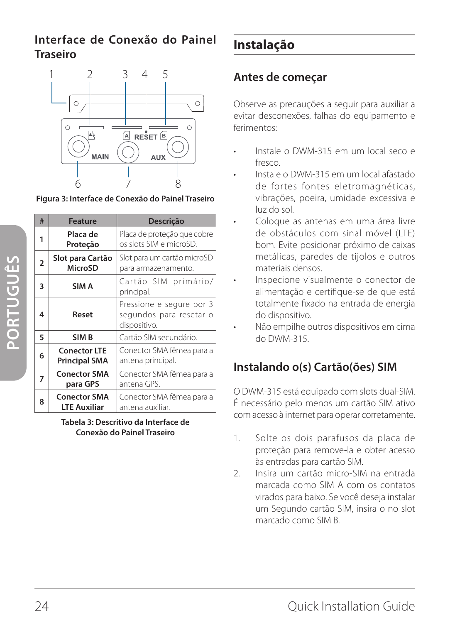## **Interface de Conexão do Painel Traseiro**



**Figura 3: Interface de Conexão do Painel Traseiro**

| #              | <b>Feature</b>                                                              | Descrição                                                           |
|----------------|-----------------------------------------------------------------------------|---------------------------------------------------------------------|
| 1              | Placa de<br>Proteção                                                        | Placa de proteção que cobre<br>os slots SIM e microSD.              |
| $\overline{2}$ | Slot para Cartão<br>MicroSD                                                 | Slot para um cartão microSD<br>para armazenamento.                  |
| 3              | SIM A                                                                       | Cartão SIM primário/<br>principal.                                  |
| 4              | Reset                                                                       | Pressione e segure por 3<br>segundos para resetar o<br>dispositivo. |
| 5              | SIM <sub>B</sub>                                                            | Cartão SIM secundário.                                              |
| 6              | <b>Conector LTE</b><br><b>Principal SMA</b>                                 | Conector SMA fêmea para a<br>antena principal.                      |
| 7              | Conector SMA fêmea para a<br><b>Conector SMA</b><br>antena GPS.<br>para GPS |                                                                     |
| 8              | <b>Conector SMA</b><br><b>LTE Auxiliar</b>                                  | Conector SMA fêmea para a<br>antena auxiliar.                       |

**Tabela 3: Descritivo da Interface de Conexão do Painel Traseiro**

## **Instalação**

## **Antes de começar**

Observe as precauções a seguir para auxiliar a evitar desconexões, falhas do equipamento e ferimentos:

- Instale o DWM-315 em um local seco e fresco.
- Instale o DWM-315 em um local afastado de fortes fontes eletromagnéticas, vibrações, poeira, umidade excessiva e luz do sol.
- Coloque as antenas em uma área livre de obstáculos com sinal móvel (LTE) bom. Evite posicionar próximo de caixas metálicas, paredes de tijolos e outros materiais densos.
- Inspecione visualmente o conector de alimentação e certifique-se de que está totalmente fixado na entrada de energia do dispositivo.
- Não empilhe outros dispositivos em cima do DWM-315.

## **Instalando o(s) Cartão(ões) SIM**

O DWM-315 está equipado com slots dual-SIM. É necessário pelo menos um cartão SIM ativo com acesso à internet para operar corretamente.

- 1. Solte os dois parafusos da placa de proteção para remove-la e obter acesso às entradas para cartão SIM.
- 2. Insira um cartão micro-SIM na entrada marcada como SIM A com os contatos virados para baixo. Se você deseja instalar um Segundo cartão SIM, insira-o no slot marcado como SIM B.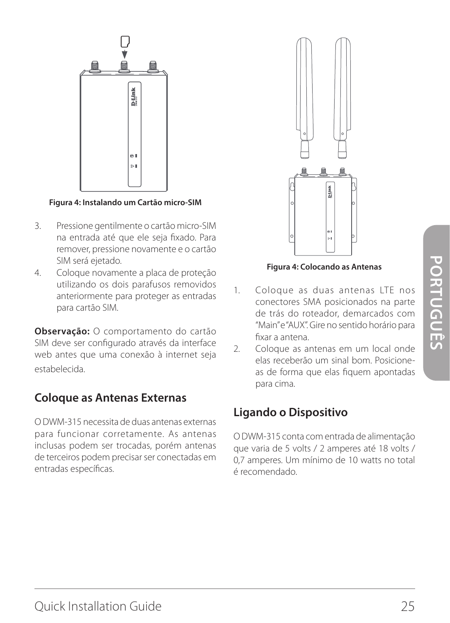

#### **Figura 4: Instalando um Cartão micro-SIM**

- 3. Pressione gentilmente o cartão micro-SIM na entrada até que ele seja fixado. Para remover, pressione novamente e o cartão SIM será ejetado.
- 4. Coloque novamente a placa de proteção utilizando os dois parafusos removidos anteriormente para proteger as entradas para cartão SIM.

**Observação:** O comportamento do cartão SIM deve ser configurado através da interface web antes que uma conexão à internet seja estabelecida.

## **Coloque as Antenas Externas**

O DWM-315 necessita de duas antenas externas para funcionar corretamente. As antenas inclusas podem ser trocadas, porém antenas de terceiros podem precisar ser conectadas em entradas específicas.



**Figura 4: Colocando as Antenas**

- 1. Coloque as duas antenas LTE nos conectores SMA posicionados na parte de trás do roteador, demarcados com "Main" e "AUX". Gire no sentido horário para fixar a antena.
- 2. Coloque as antenas em um local onde elas receberão um sinal bom. Posicioneas de forma que elas fiquem apontadas para cima.

## **Ligando o Dispositivo**

O DWM-315 conta com entrada de alimentação que varia de 5 volts / 2 amperes até 18 volts / 0,7 amperes. Um mínimo de 10 watts no total é recomendado.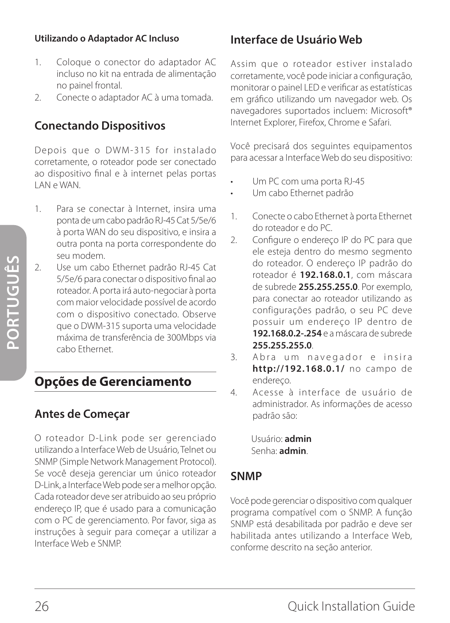#### **Utilizando o Adaptador AC Incluso**

- 1. Coloque o conector do adaptador AC incluso no kit na entrada de alimentação no painel frontal.
- 2. Conecte o adaptador AC à uma tomada.

## **Conectando Dispositivos**

Depois que o DWM-315 for instalado corretamente, o roteador pode ser conectado ao dispositivo final e à internet pelas portas LAN e WAN.

- 1. Para se conectar à Internet, insira uma ponta de um cabo padrão RJ-45 Cat 5/5e/6 à porta WAN do seu dispositivo, e insira a outra ponta na porta correspondente do seu modem.
- 2. Use um cabo Ethernet padrão RJ-45 Cat 5/5e/6 para conectar o dispositivo final ao roteador. A porta irá auto-negociar à porta com maior velocidade possível de acordo com o dispositivo conectado. Observe que o DWM-315 suporta uma velocidade máxima de transferência de 300Mbps via cabo Ethernet.

## **Opções de Gerenciamento**

## **Antes de Começar**

O roteador D-Link pode ser gerenciado utilizando a Interface Web de Usuário, Telnet ou SNMP (Simple Network Management Protocol). Se você deseja gerenciar um único roteador D-Link, a Interface Web pode ser a melhor opção. Cada roteador deve ser atribuido ao seu próprio endereço IP, que é usado para a comunicação com o PC de gerenciamento. Por favor, siga as instruções à seguir para começar a utilizar a Interface Web e SNMP.

## **Interface de Usuário Web**

Assim que o roteador estiver instalado corretamente, você pode iniciar a configuração, monitorar o painel LED e verificar as estatísticas em gráfico utilizando um navegador web. Os navegadores suportados incluem: Microsoft® Internet Explorer, Firefox, Chrome e Safari.

Você precisará dos seguintes equipamentos para acessar a Interface Web do seu dispositivo:

- Um PC com uma porta RJ-45
- Um cabo Ethernet padrão
- 1. Conecte o cabo Ethernet à porta Ethernet do roteador e do PC.
- 2. Configure o endereço IP do PC para que ele esteja dentro do mesmo segmento do roteador. O endereço IP padrão do roteador é **192.168.0.1**, com máscara de subrede **255.255.255.0**. Por exemplo, para conectar ao roteador utilizando as configurações padrão, o seu PC deve possuir um endereço IP dentro de **192.168.0.2-.254** e a máscara de subrede **255.255.255.0**.
- 3. Abra um navegador e insira **http://192.168.0.1/** no campo de endereço.
- 4. Acesse à interface de usuário de administrador. As informações de acesso padrão são:

Usuário: **admin** Senha: **admin**.

## **SNMP**

Você pode gerenciar o dispositivo com qualquer programa compatível com o SNMP. A função SNMP está desabilitada por padrão e deve ser habilitada antes utilizando a Interface Web, conforme descrito na seção anterior.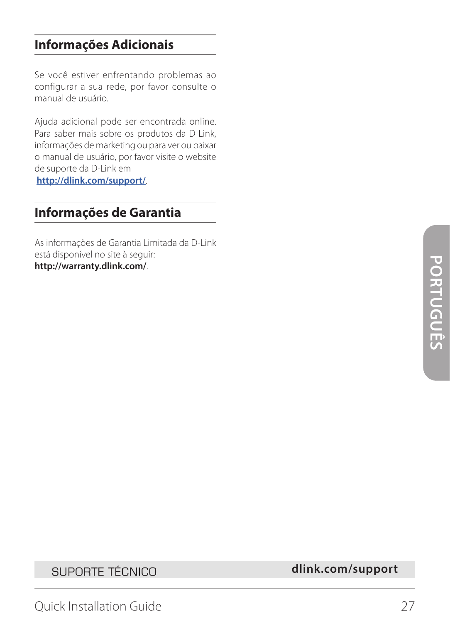## **Informações Adicionais**

Se você estiver enfrentando problemas ao configurar a sua rede, por favor consulte o manual de usuário.

Ajuda adicional pode ser encontrada online. Para saber mais sobre os produtos da D-Link, informações de marketing ou para ver ou baixar o manual de usuário, por favor visite o website de suporte da D-Link em

**http://dlink.com/support/**.

## **Informações de Garantia**

As informações de Garantia Limitada da D-Link está disponível no site à seguir: **http://warranty.dlink.com/**.

SUPORTE TÉCNICO **dlink.com/support**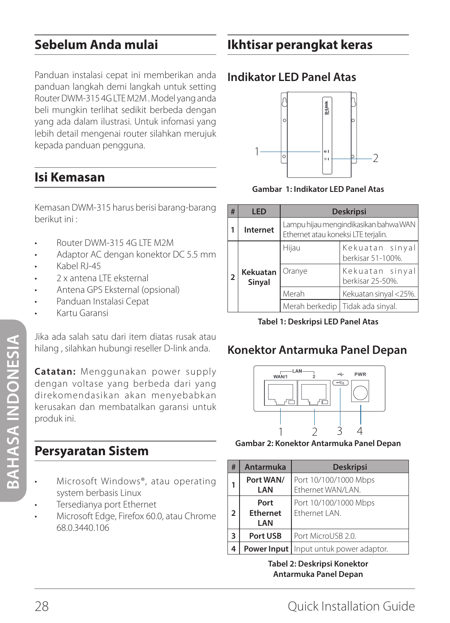## **Sebelum Anda mulai**

Panduan instalasi cepat ini memberikan anda panduan langkah demi langkah untuk setting Router DWM-315 4G LTE M2M . Model yang anda beli mungkin terlihat sedikit berbeda dengan yang ada dalam ilustrasi. Untuk infomasi yang lebih detail mengenai router silahkan merujuk kepada panduan pengguna.

## **Isi Kemasan**

Kemasan DWM-315 harus berisi barang-barang berikut ini :

- Router DWM-315 4G LTE M2M
- Adaptor AC dengan konektor DC 5.5 mm
- Kabel RJ-45
- 2 x antena LTE eksternal
- Antena GPS Eksternal (opsional)
- Panduan Instalasi Cepat
- Kartu Garansi

Jika ada salah satu dari item diatas rusak atau hilang , silahkan hubungi reseller D-link anda.

**Catatan:** Menggunakan power supply dengan voltase yang berbeda dari yang direkomendasikan akan menyebabkan kerusakan dan membatalkan garansi untuk produk ini.

## **Persyaratan Sistem**

- Microsoft Windows®, atau operating system berbasis Linux
- Tersedianya port Ethernet
- Microsoft Edge, Firefox 60.0, atau Chrome 68.0.3440.106

## **Indikator LED Panel Atas**



**Gambar 1: Indikator LED Panel Atas** 

| #              | LED                | <b>Deskripsi</b>                                                             |                                      |
|----------------|--------------------|------------------------------------------------------------------------------|--------------------------------------|
|                | Internet           | Lampu hijau mengindikasikan bahwa WAN<br>Ethernet atau koneksi LTE terjalin. |                                      |
| $\overline{2}$ | Kekuatan<br>Sinyal | Hijau                                                                        | Kekuatan sinyal<br>berkisar 51-100%. |
|                |                    | Oranye                                                                       | Kekuatan sinyal<br>berkisar 25-50%.  |
|                |                    | Merah                                                                        | Kekuatan sinyal <25%.                |
|                |                    |                                                                              | Merah berkedip   Tidak ada sinyal.   |

**Tabel 1: Deskripsi LED Panel Atas**

## **Konektor Antarmuka Panel Depan**



**Gambar 2: Konektor Antarmuka Panel Depan** 

| # | <b>Antarmuka</b>                         | <b>Deskripsi</b>                               |  |
|---|------------------------------------------|------------------------------------------------|--|
|   | Port WAN/<br>LAN                         | Port 10/100/1000 Mbps<br>Ethernet WAN/LAN.     |  |
| 2 | Port<br><b>Fthernet</b><br>I AN          | Port 10/100/1000 Mbps<br><b>Fthernet   AN.</b> |  |
| 3 | Port USB                                 | Port MicroUSB 2.0.                             |  |
| 4 | Power Input   Input untuk power adaptor. |                                                |  |

**Tabel 2: Deskripsi Konektor Antarmuka Panel Depan**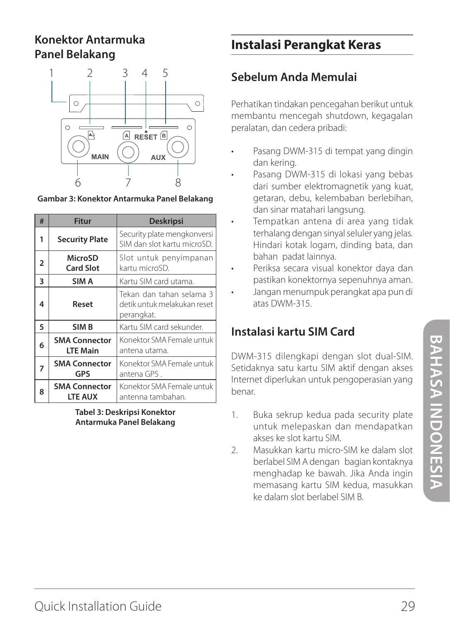## **Konektor Antarmuka Panel Belakang**



**Gambar 3: Konektor Antarmuka Panel Belakang**

| # | <b>Fitur</b>                            | <b>Deskripsi</b>                                                      |
|---|-----------------------------------------|-----------------------------------------------------------------------|
| 1 | <b>Security Plate</b>                   | Security plate mengkonversi<br>SIM dan slot kartu microSD.            |
| 2 | MicroSD<br><b>Card Slot</b>             | Slot untuk penyimpanan<br>kartu microSD.                              |
| 3 | SIM A                                   | Kartu SIM card utama.                                                 |
| 4 | Reset                                   | Tekan dan tahan selama 3<br>detik untuk melakukan reset<br>perangkat. |
| 5 | SIM <sub>B</sub>                        | Kartu SIM card sekunder.                                              |
| 6 | <b>SMA Connector</b><br><b>LTE Main</b> | Konektor SMA Female untuk<br>antena utama.                            |
| 7 | <b>SMA Connector</b><br>GPS             | Konektor SMA Female untuk<br>antena GPS.                              |
| 8 | <b>SMA Connector</b><br>LTE AUX         | Konektor SMA Female untuk<br>antenna tambahan.                        |

**Tabel 3: Deskripsi Konektor Antarmuka Panel Belakang**

## **Instalasi Perangkat Keras**

## **Sebelum Anda Memulai**

Perhatikan tindakan pencegahan berikut untuk membantu mencegah shutdown, kegagalan peralatan, dan cedera pribadi:

- Pasang DWM-315 di tempat yang dingin dan kering.
- Pasang DWM-315 di lokasi yang bebas dari sumber elektromagnetik yang kuat, getaran, debu, kelembaban berlebihan, dan sinar matahari langsung.
- Tempatkan antena di area yang tidak terhalang dengan sinyal seluler yang jelas. Hindari kotak logam, dinding bata, dan bahan padat lainnya.
- Periksa secara visual konektor daya dan pastikan konektornya sepenuhnya aman.
- Jangan menumpuk perangkat apa pun di atas DWM-315.

## **Instalasi kartu SIM Card**

DWM-315 dilengkapi dengan slot dual-SIM. Setidaknya satu kartu SIM aktif dengan akses Internet diperlukan untuk pengoperasian yang benar.

- 1. Buka sekrup kedua pada security plate untuk melepaskan dan mendapatkan akses ke slot kartu SIM.
- 2. Masukkan kartu micro-SIM ke dalam slot berlabel SIM A dengan bagian kontaknya menghadap ke bawah. Jika Anda ingin memasang kartu SIM kedua, masukkan ke dalam slot berlabel SIM B.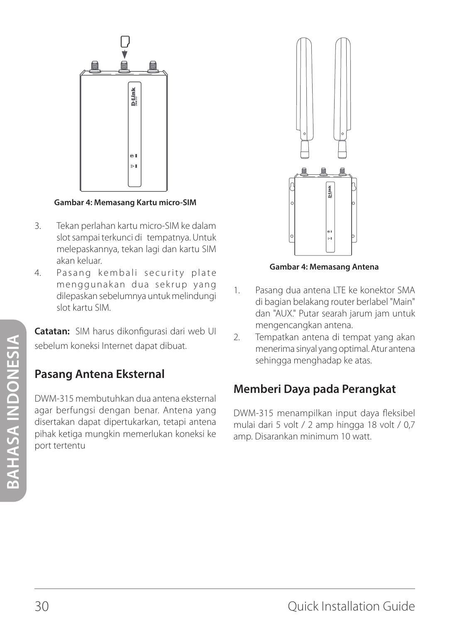

**Gambar 4: Memasang Kartu micro-SIM**

- 3. Tekan perlahan kartu micro-SIM ke dalam slot sampai terkunci di tempatnya. Untuk melepaskannya, tekan lagi dan kartu SIM akan keluar.
- 4. Pasang kembali security plate menggunakan dua sekrup yang dilepaskan sebelumnya untuk melindungi slot kartu SIM.

**Catatan:** SIM harus dikonfigurasi dari web UI sebelum koneksi Internet dapat dibuat.

## **Pasang Antena Eksternal**

DWM-315 membutuhkan dua antena eksternal agar berfungsi dengan benar. Antena yang disertakan dapat dipertukarkan, tetapi antena pihak ketiga mungkin memerlukan koneksi ke port tertentu



**Gambar 4: Memasang Antena**

- 1. Pasang dua antena LTE ke konektor SMA di bagian belakang router berlabel "Main" dan "AUX." Putar searah jarum jam untuk mengencangkan antena.
- 2. Tempatkan antena di tempat yang akan menerima sinyal yang optimal. Atur antena sehingga menghadap ke atas.

## **Memberi Daya pada Perangkat**

DWM-315 menampilkan input daya fleksibel mulai dari 5 volt / 2 amp hingga 18 volt / 0,7 amp. Disarankan minimum 10 watt.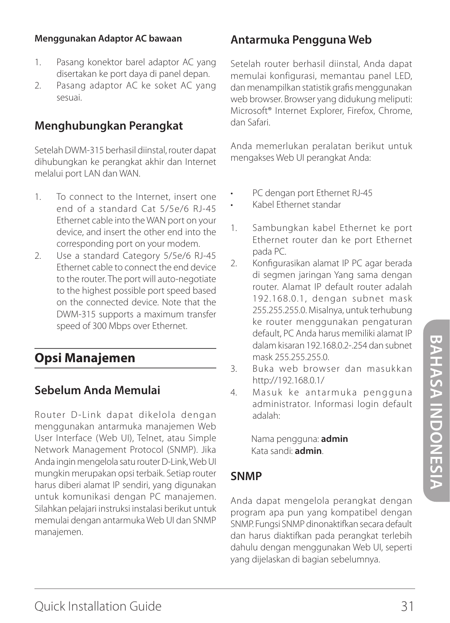#### **Menggunakan Adaptor AC bawaan**

- 1. Pasang konektor barel adaptor AC yang disertakan ke port daya di panel depan.
- 2. Pasang adaptor AC ke soket AC yang sesuai.

## **Menghubungkan Perangkat**

Setelah DWM-315 berhasil diinstal, router dapat dihubungkan ke perangkat akhir dan Internet melalui port LAN dan WAN.

- 1. To connect to the Internet, insert one end of a standard Cat 5/5e/6 RJ-45 Ethernet cable into the WAN port on your device, and insert the other end into the corresponding port on your modem.
- 2. Use a standard Category 5/5e/6 RJ-45 Ethernet cable to connect the end device to the router. The port will auto-negotiate to the highest possible port speed based on the connected device. Note that the DWM-315 supports a maximum transfer speed of 300 Mbps over Ethernet.

## **Opsi Manajemen**

## **Sebelum Anda Memulai**

Router D-Link dapat dikelola dengan menggunakan antarmuka manajemen Web User Interface (Web UI), Telnet, atau Simple Network Management Protocol (SNMP). Jika Anda ingin mengelola satu router D-Link, Web UI mungkin merupakan opsi terbaik. Setiap router harus diberi alamat IP sendiri, yang digunakan untuk komunikasi dengan PC manajemen. Silahkan pelajari instruksi instalasi berikut untuk memulai dengan antarmuka Web UI dan SNMP manajemen.

## **Antarmuka Pengguna Web**

Setelah router berhasil diinstal, Anda dapat memulai konfigurasi, memantau panel LED, dan menampilkan statistik grafis menggunakan web browser. Browser yang didukung meliputi: Microsoft® Internet Explorer, Firefox, Chrome, dan Safari.

Anda memerlukan peralatan berikut untuk mengakses Web UI perangkat Anda:

- PC dengan port Ethernet RJ-45
- Kabel Ethernet standar
- 1. Sambungkan kabel Ethernet ke port Ethernet router dan ke port Ethernet pada PC.
- 2. Konfigurasikan alamat IP PC agar berada di segmen jaringan Yang sama dengan router. Alamat IP default router adalah 192.168.0.1, dengan subnet mask 255.255.255.0. Misalnya, untuk terhubung ke router menggunakan pengaturan default, PC Anda harus memiliki alamat IP dalam kisaran 192.168.0.2-254 dan subnet mask 255.255.255.0.
- 3. Buka web browser dan masukkan http://192.168.0.1/
- 4. Masuk ke antarmuka pengguna administrator. Informasi login default adalah:

Nama pengguna: **admin** Kata sandi: **admin**.

#### **SNMP**

Anda dapat mengelola perangkat dengan program apa pun yang kompatibel dengan SNMP. Fungsi SNMP dinonaktifkan secara default dan harus diaktifkan pada perangkat terlebih dahulu dengan menggunakan Web UI, seperti yang dijelaskan di bagian sebelumnya.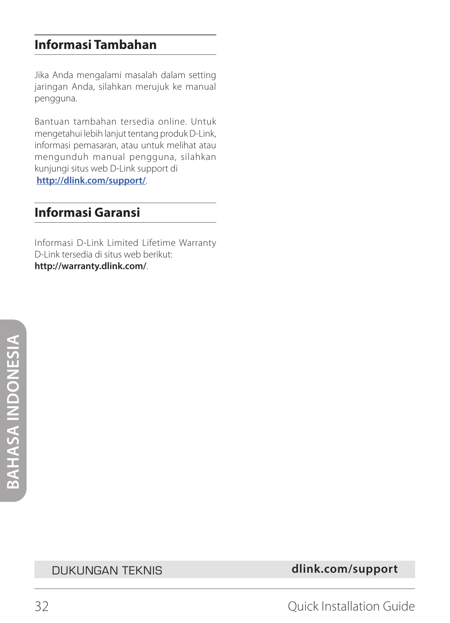## **Informasi Tambahan**

Jika Anda mengalami masalah dalam setting jaringan Anda, silahkan merujuk ke manual pengguna.

Bantuan tambahan tersedia online. Untuk mengetahui lebih lanjut tentang produk D-Link, informasi pemasaran, atau untuk melihat atau mengunduh manual pengguna, silahkan kunjungi situs web D-Link support di **http://dlink.com/support/**.

## **Informasi Garansi**

Informasi D-Link Limited Lifetime Warranty D-Link tersedia di situs web berikut: **http://warranty.dlink.com/**.

DUKUNGAN TEKNIS **dlink.com/support**